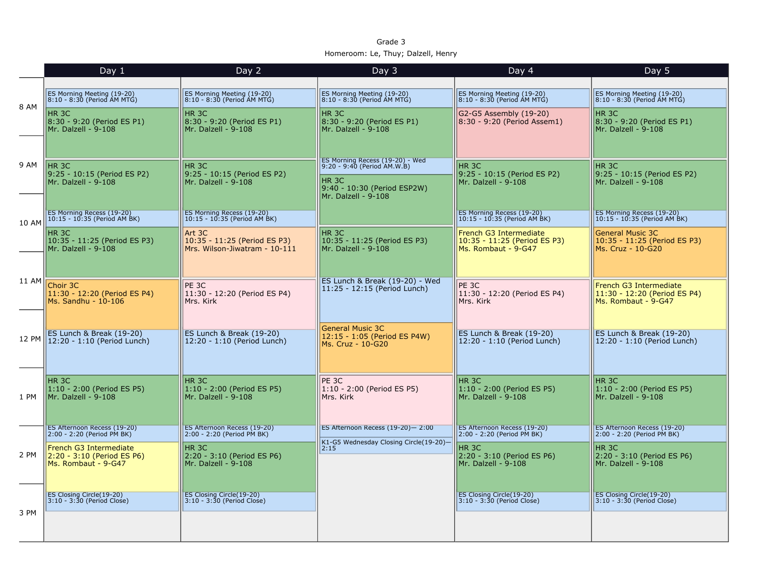| Grade 3                            |  |  |  |  |  |  |
|------------------------------------|--|--|--|--|--|--|
| Homeroom: Le, Thuy; Dalzell, Henry |  |  |  |  |  |  |

|       | Day $1$                                                                                                                 | Day 2                                                                                                                              | Day 3                                                                                                                                    | Day 4                                                                                                              | Day 5                                                                                                                   |
|-------|-------------------------------------------------------------------------------------------------------------------------|------------------------------------------------------------------------------------------------------------------------------------|------------------------------------------------------------------------------------------------------------------------------------------|--------------------------------------------------------------------------------------------------------------------|-------------------------------------------------------------------------------------------------------------------------|
| 8 AM  | ES Morning Meeting (19-20)<br>8:10 - 8:30 (Period AM MTG)<br>HR 3C<br>8:30 - 9:20 (Period ES P1)<br>Mr. Dalzell - 9-108 | ES Morning Meeting (19-20)<br>8:10 - 8:30 (Period AM MTG)<br>HR <sub>3C</sub><br>8:30 - 9:20 (Period ES P1)<br>Mr. Dalzell - 9-108 | ES Morning Meeting (19-20)<br>8:10 - 8:30 (Period AM MTG)<br>HR 3C<br>8:30 - 9:20 (Period ES P1)<br>Mr. Dalzell - 9-108                  | ES Morning Meeting (19-20)<br>8:10 - 8:30 (Period AM MTG)<br>G2-G5 Assembly (19-20)<br>8:30 - 9:20 (Period Assem1) | ES Morning Meeting (19-20)<br>8:10 - 8:30 (Period AM MTG)<br>HR 3C<br>8:30 - 9:20 (Period ES P1)<br>Mr. Dalzell - 9-108 |
| 9 AM  | HR <sub>3C</sub><br>9:25 - 10:15 (Period ES P2)<br>Mr. Dalzell - 9-108                                                  | HR <sub>3C</sub><br>9:25 - 10:15 (Period ES P2)<br>Mr. Dalzell - 9-108                                                             | ES Morning Recess (19-20) - Wed<br>9:20 - 9:40 (Period AM.W.B)<br>HR <sub>3C</sub><br>9:40 - 10:30 (Period ESP2W)<br>Mr. Dalzell - 9-108 | HR <sub>3C</sub><br>9:25 - 10:15 (Period ES P2)<br>Mr. Dalzell - 9-108                                             | HR <sub>3C</sub><br>9:25 - 10:15 (Period ES P2)<br>Mr. Dalzell - 9-108                                                  |
| 10 AM | ES Morning Recess (19-20)<br>10:15 - 10:35 (Period AM BK)                                                               | ES Morning Recess (19-20)<br>10:15 - 10:35 (Period AM BK)                                                                          |                                                                                                                                          | <b>ES Morning Recess (19-20)</b><br>10:15 - 10:35 (Period AM BK)                                                   | ES Morning Recess (19-20)<br>10:15 - 10:35 (Period AM BK)                                                               |
|       | HR <sub>3C</sub><br>10:35 - 11:25 (Period ES P3)<br>Mr. Dalzell - 9-108                                                 | Art 3C<br>10:35 - 11:25 (Period ES P3)<br>Mrs. Wilson-Jiwatram - 10-111                                                            | HR <sub>3C</sub><br>10:35 - 11:25 (Period ES P3)<br>Mr. Dalzell - 9-108                                                                  | French G3 Intermediate<br>10:35 - 11:25 (Period ES P3)<br>Ms. Rombaut - 9-G47                                      | <b>General Music 3C</b><br>10:35 - 11:25 (Period ES P3)<br>Ms. Cruz - 10-G20                                            |
| 11 AM | Choir 3C<br>11:30 - 12:20 (Period ES P4)<br>Ms. Sandhu - 10-106                                                         | PE <sub>3C</sub><br>11:30 - 12:20 (Period ES P4)<br>Mrs. Kirk                                                                      | ES Lunch & Break (19-20) - Wed<br>11:25 - 12:15 (Period Lunch)                                                                           | PE <sub>3C</sub><br>11:30 - 12:20 (Period ES P4)<br>Mrs. Kirk                                                      | French G3 Intermediate<br>11:30 - 12:20 (Period ES P4)<br>Ms. Rombaut - 9-G47                                           |
| 12 PM | ES Lunch & Break (19-20)<br>12:20 - 1:10 (Period Lunch)                                                                 | ES Lunch & Break (19-20)<br>12:20 - 1:10 (Period Lunch)                                                                            | General Music 3C<br>12:15 - 1:05 (Period ES P4W)<br>Ms. Cruz - 10-G20                                                                    | ES Lunch & Break (19-20)<br>12:20 - 1:10 (Period Lunch)                                                            | ES Lunch & Break (19-20)<br>12:20 - 1:10 (Period Lunch)                                                                 |
| 1 PM  | HR 3C<br>1:10 - 2:00 (Period ES P5)<br>Mr. Dalzell - 9-108                                                              | HR 3C<br>1:10 - 2:00 (Period ES P5)<br>Mr. Dalzell - 9-108                                                                         | PE 3C<br>1:10 - 2:00 (Period ES P5)<br>Mrs. Kirk                                                                                         | HR 3C<br>$1:10 - 2:00$ (Period ES P5)<br>Mr. Dalzell - 9-108                                                       | HR 3C<br>1:10 - 2:00 (Period ES P5)<br>Mr. Dalzell - 9-108                                                              |
|       | ES Afternoon Recess (19-20)<br>2:00 - 2:20 (Period PM BK)                                                               | ES Afternoon Recess (19-20)<br>2:00 - 2:20 (Period PM BK)                                                                          | ES Afternoon Recess (19-20)-2:00<br>K1-G5 Wednesday Closing Circle(19-20)-<br>2:15                                                       | ES Afternoon Recess (19-20)<br>2:00 - 2:20 (Period PM BK)                                                          | ES Afternoon Recess (19-20)<br>2:00 - 2:20 (Period PM BK)                                                               |
| 2 PM  | French G3 Intermediate<br>2:20 - 3:10 (Period ES P6)<br>Ms. Rombaut - 9-G47                                             | HR 3C<br>2:20 - 3:10 (Period ES P6)<br>Mr. Dalzell - 9-108                                                                         |                                                                                                                                          | HR 3C<br>2:20 - 3:10 (Period ES P6)<br>Mr. Dalzell - 9-108                                                         | HR 3C<br>2:20 - 3:10 (Period ES P6)<br>Mr. Dalzell - 9-108                                                              |
| 3 PM  | <b>ES Closing Circle(19-20)</b><br>$ 3:10 - 3:30$ (Period Close)                                                        | ES Closing Circle(19-20)<br>3:10 - 3:30 (Period Close)                                                                             |                                                                                                                                          | ES Closing Circle(19-20)<br>$3:10 - 3:30$ (Period Close)                                                           | <b>ES Closing Circle (19-20)</b><br>$ 3:10 - 3:30$ (Period Close)                                                       |